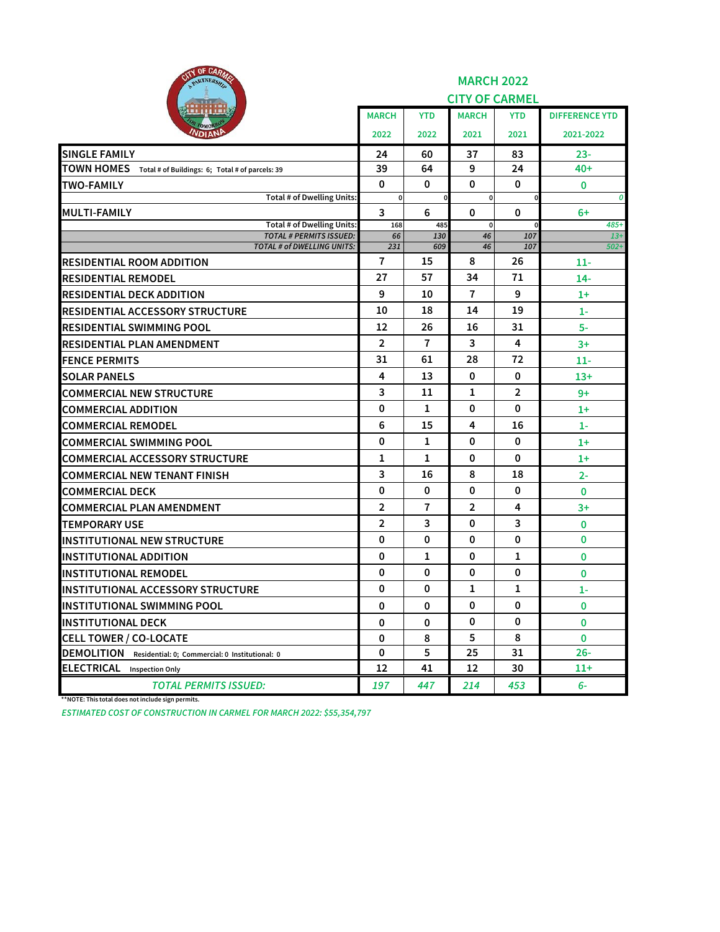| <b>RITY OF CARAGE</b><br>PARTNERSHA                        |                |                | <b>MARCH 2022</b><br><b>CITY OF CARMEL</b> |                |                       |
|------------------------------------------------------------|----------------|----------------|--------------------------------------------|----------------|-----------------------|
|                                                            | <b>MARCH</b>   | <b>YTD</b>     | <b>MARCH</b>                               | <b>YTD</b>     | <b>DIFFERENCE YTD</b> |
| <b>DIANE</b>                                               | 2022           | 2022           | 2021                                       | 2021           | 2021-2022             |
| <b>SINGLE FAMILY</b>                                       | 24             | 60             | 37                                         | 83             | 23-                   |
| TOWN HOMES Total # of Buildings: 6; Total # of parcels: 39 | 39             | 64             | 9                                          | 24             | $40+$                 |
| <b>TWO-FAMILY</b>                                          | $\mathbf 0$    | 0              | 0                                          | 0              | 0                     |
| <b>Total # of Dwelling Units:</b>                          | $\mathbf 0$    | $\mathbf 0$    | $\mathbf 0$                                | $\mathbf 0$    | 0                     |
| <b>MULTI-FAMILY</b><br><b>Total # of Dwelling Units:</b>   | 3<br>168       | 6<br>485       | 0<br>$\mathbf 0$                           | 0              | $6+$<br>485+          |
| <b>TOTAL # PERMITS ISSUED:</b>                             | 66             | 130            | 46                                         | 107            | $13+$                 |
| <b>TOTAL # of DWELLING UNITS:</b>                          | 231            | 609            | 46                                         | 107            | $502+$                |
| <b>RESIDENTIAL ROOM ADDITION</b>                           | $\overline{7}$ | 15             | 8                                          | 26             | 11-                   |
| <b>RESIDENTIAL REMODEL</b>                                 | 27             | 57             | 34                                         | 71             | $14-$                 |
| <b>RESIDENTIAL DECK ADDITION</b>                           | 9              | 10             | 7                                          | 9              | $1+$                  |
| <b>RESIDENTIAL ACCESSORY STRUCTURE</b>                     | 10             | 18             | 14                                         | 19             | $1-$                  |
| IRESIDENTIAL SWIMMING POOL                                 | 12             | 26             | 16                                         | 31             | 5-                    |
| IRESIDENTIAL PLAN AMENDMENT                                | $\overline{2}$ | $\mathbf{7}$   | 3                                          | 4              | $3+$                  |
| <b>FENCE PERMITS</b>                                       | 31             | 61             | 28                                         | 72             | $11-$                 |
| <b>SOLAR PANELS</b>                                        | 4              | 13             | 0                                          | 0              | $13+$                 |
| <b>COMMERCIAL NEW STRUCTURE</b>                            | 3              | 11             | 1                                          | $\overline{2}$ | 9+                    |
| <b>COMMERCIAL ADDITION</b>                                 | 0              | 1              | 0                                          | 0              | $1+$                  |
| <b>COMMERCIAL REMODEL</b>                                  | 6              | 15             | 4                                          | 16             | $1-$                  |
| <b>COMMERCIAL SWIMMING POOL</b>                            | 0              | 1              | $\mathbf 0$                                | $\mathbf{0}$   | $1+$                  |
| <b>COMMERCIAL ACCESSORY STRUCTURE</b>                      | 1              | 1              | 0                                          | 0              | $1+$                  |
| <b>COMMERCIAL NEW TENANT FINISH</b>                        | 3              | 16             | 8                                          | 18             | $2 -$                 |
| <b>COMMERCIAL DECK</b>                                     | $\mathbf 0$    | 0              | $\mathbf 0$                                | 0              | 0                     |
| <b>COMMERCIAL PLAN AMENDMENT</b>                           | $\mathbf{2}$   | $\overline{7}$ | 2                                          | 4              | $3+$                  |
| <b>ITEMPORARY USE</b>                                      | $\overline{2}$ | 3              | 0                                          | 3              | 0                     |
| <b>INSTITUTIONAL NEW STRUCTURE</b>                         | 0              | 0              | 0                                          | 0              | 0                     |
| <b>INSTITUTIONAL ADDITION</b>                              | 0              | 1              | 0                                          | 1              | 0                     |
| <b>INSTITUTIONAL REMODEL</b>                               | 0              | 0              | 0                                          | 0              | 0                     |
| IINSTITUTIONAL ACCESSORY STRUCTURE                         | 0              | 0              | 1                                          | 1              | $1-$                  |
| INSTITUTIONAL SWIMMING POOL                                | 0              | 0              | 0                                          | 0              | 0                     |
| <b>INSTITUTIONAL DECK</b>                                  | 0              | 0              | 0                                          | 0              | $\mathbf{0}$          |
| <b>CELL TOWER / CO-LOCATE</b>                              | 0              | 8              | 5                                          | 8              | $\mathbf{0}$          |
| DEMOLITION Residential: 0; Commercial: 0 Institutional: 0  | 0              | 5              | 25                                         | 31             | $26 -$                |
| <b>ELECTRICAL</b> Inspection Only                          | 12             | 41             | 12                                         | 30             | 11+                   |
| <b>TOTAL PERMITS ISSUED:</b>                               | 197            | 447            | 214                                        | 453            | $6-$                  |

**\*\*NOTE: This total does not include sign permits.**

*ESTIMATED COST OF CONSTRUCTION IN CARMEL FOR MARCH 2022: \$55,354,797*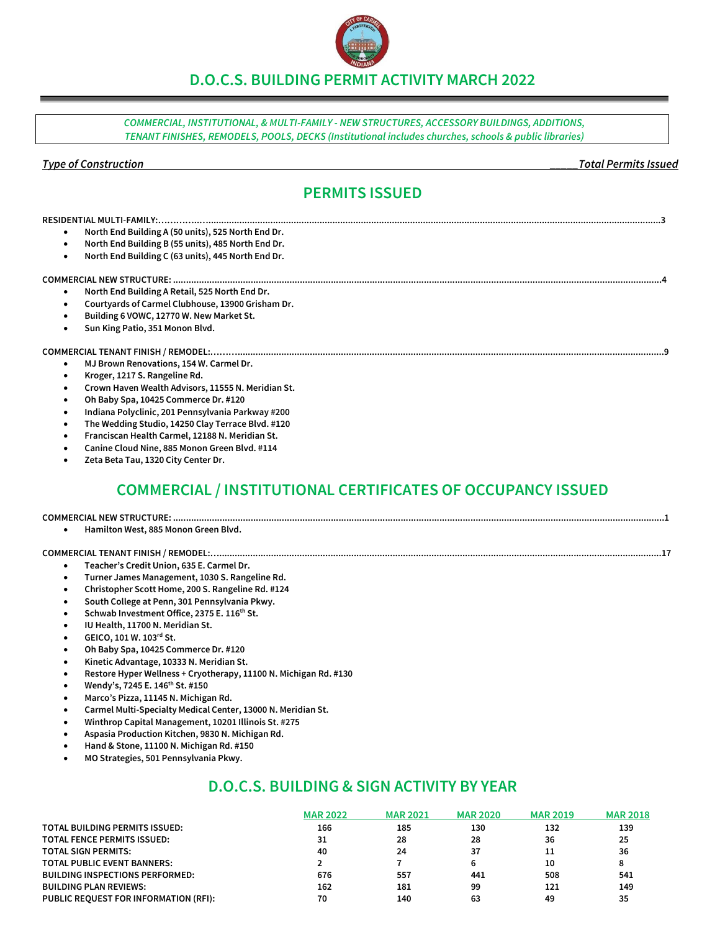**D.O.C.S. BUILDING PERMIT ACTIVITY MARCH 2022**

*COMMERCIAL, INSTITUTIONAL, & MULTI-FAMILY - NEW STRUCTURES, ACCESSORY BUILDINGS, ADDITIONS, TENANT FINISHES, REMODELS, POOLS, DECKS (Institutional includes churches, schools & public libraries)*

#### *Type of Construction \_\_\_\_\_Total Permits Issued*

## **PERMITS ISSUED**

- **North End Building A (50 units), 525 North End Dr.**
- **North End Building B (55 units), 485 North End Dr.**
- **North End Building C (63 units), 445 North End Dr.**

#### **COMMERCIAL NEW STRUCTURE: .............................................................................................................................................................................................4**

- **North End Building A Retail, 525 North End Dr.**
- **Courtyards of Carmel Clubhouse, 13900 Grisham Dr.**
- **Building 6 VOWC, 12770 W. New Market St.**
- **Sun King Patio, 351 Monon Blvd.**

#### **COMMERCIAL TENANT FINISH / REMODEL:……….....................................................................................................................................................................9**

- **MJ Brown Renovations, 154 W. Carmel Dr.**
- **Kroger, 1217 S. Rangeline Rd.**
- **Crown Haven Wealth Advisors, 11555 N. Meridian St.**
- **Oh Baby Spa, 10425 Commerce Dr. #120**
- **Indiana Polyclinic, 201 Pennsylvania Parkway #200**
- **The Wedding Studio, 14250 Clay Terrace Blvd. #120**
- **Franciscan Health Carmel, 12188 N. Meridian St.**
- **Canine Cloud Nine, 885 Monon Green Blvd. #114**
- **Zeta Beta Tau, 1320 City Center Dr.**

## **COMMERCIAL / INSTITUTIONAL CERTIFICATES OF OCCUPANCY ISSUED**

**COMMERCIAL NEW STRUCTURE: ..............................................................................................................................................................................................1**

• **Hamilton West, 885 Monon Green Blvd.**

#### **COMMERCIAL TENANT FINISH / REMODEL:…...........................................................................................................................................................................17**

- **Teacher's Credit Union, 635 E. Carmel Dr.**
- **Turner James Management, 1030 S. Rangeline Rd.**
- **Christopher Scott Home, 200 S. Rangeline Rd. #124**
- **South College at Penn, 301 Pennsylvania Pkwy.**
- **Schwab Investment Office, 2375 E. 116th St.**
- **IU Health, 11700 N. Meridian St.**
- **GEICO, 101 W. 103rd St.**
- **Oh Baby Spa, 10425 Commerce Dr. #120**
- **Kinetic Advantage, 10333 N. Meridian St.**
- **Restore Hyper Wellness + Cryotherapy, 11100 N. Michigan Rd. #130**
- **Wendy's, 7245 E. 146th St. #150**
- **Marco's Pizza, 11145 N. Michigan Rd.**
- **Carmel Multi-Specialty Medical Center, 13000 N. Meridian St.**
- **Winthrop Capital Management, 10201 Illinois St. #275**
- **Aspasia Production Kitchen, 9830 N. Michigan Rd.**
- **Hand & Stone, 11100 N. Michigan Rd. #150**
- **MO Strategies, 501 Pennsylvania Pkwy.**

## **D.O.C.S. BUILDING & SIGN ACTIVITY BY YEAR**

|                                        | <b>MAR 2022</b> | <b>MAR 2021</b> | <b>MAR 2020</b> | <b>MAR 2019</b> | <b>MAR 2018</b> |
|----------------------------------------|-----------------|-----------------|-----------------|-----------------|-----------------|
| <b>TOTAL BUILDING PERMITS ISSUED:</b>  | 166             | 185             | 130             | 132             | 139             |
| <b>TOTAL FENCE PERMITS ISSUED:</b>     | 31              | 28              | 28              | 36              | 25              |
| <b>TOTAL SIGN PERMITS:</b>             | 40              | 24              | 37              | 11              | 36              |
| <b>TOTAL PUBLIC EVENT BANNERS:</b>     |                 |                 |                 | 10              |                 |
| <b>BUILDING INSPECTIONS PERFORMED:</b> | 676             | 557             | 441             | 508             | 541             |
| <b>BUILDING PLAN REVIEWS:</b>          | 162             | 181             | 99              | 121             | 149             |
| PUBLIC REOUEST FOR INFORMATION (RFI):  | 70              | 140             | 63              | 49              | 35              |

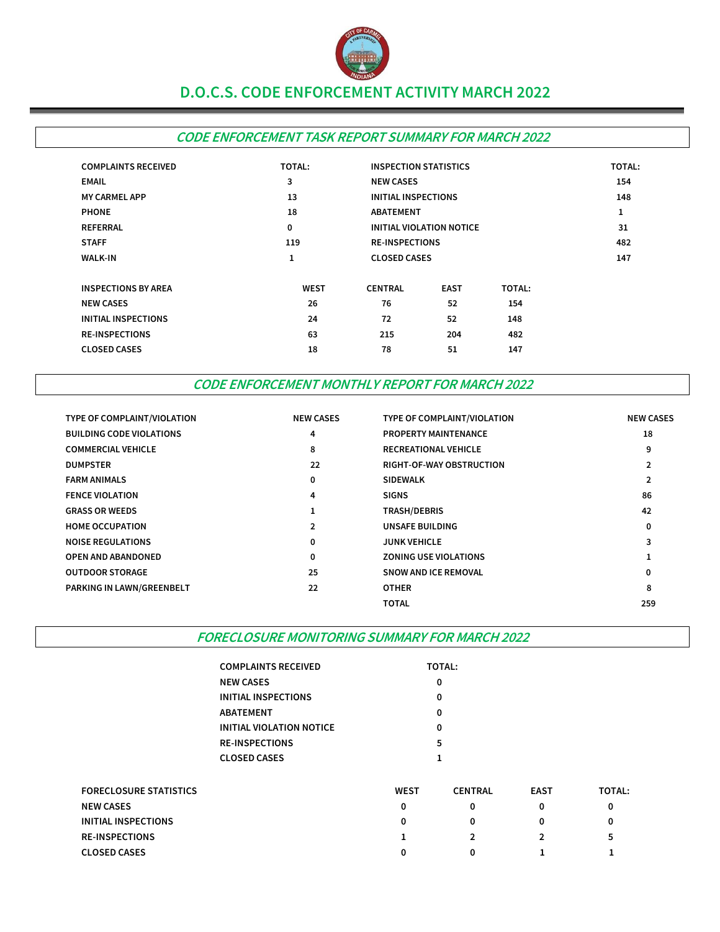

## **D.O.C.S. CODE ENFORCEMENT ACTIVITY MARCH 2022**

## **CODE ENFORCEMENT TASK REPORT SUMMARY FOR MARCH 2022**

| <b>COMPLAINTS RECEIVED</b> | <b>TOTAL:</b> | <b>INSPECTION STATISTICS</b> |                                 | TOTAL:        |     |
|----------------------------|---------------|------------------------------|---------------------------------|---------------|-----|
| <b>EMAIL</b>               | 3             | <b>NEW CASES</b>             |                                 |               | 154 |
| <b>MY CARMEL APP</b>       | 13            | <b>INITIAL INSPECTIONS</b>   |                                 |               | 148 |
| <b>PHONE</b>               | 18            | <b>ABATEMENT</b>             |                                 |               | 1   |
| <b>REFERRAL</b>            | 0             |                              | <b>INITIAL VIOLATION NOTICE</b> |               | 31  |
| <b>STAFF</b>               | 119           | <b>RE-INSPECTIONS</b>        |                                 | 482           |     |
| <b>WALK-IN</b>             | 1             | <b>CLOSED CASES</b>          |                                 |               | 147 |
| <b>INSPECTIONS BY AREA</b> | <b>WEST</b>   | <b>CENTRAL</b>               | <b>EAST</b>                     | <b>TOTAL:</b> |     |
| <b>NEW CASES</b>           | 26            | 76                           | 52                              | 154           |     |
| <b>INITIAL INSPECTIONS</b> | 24            | 72                           | 52                              | 148           |     |
| <b>RE-INSPECTIONS</b>      | 63            | 215                          | 204                             | 482           |     |
| <b>CLOSED CASES</b>        | 18            | 78                           | 51                              | 147           |     |
|                            |               |                              |                                 |               |     |

## **CODE ENFORCEMENT MONTHLY REPORT FOR MARCH 2022**

| TYPE OF COMPLAINT/VIOLATION     | <b>NEW CASES</b> | TYPE OF COMPLAINT/VIOLATION     | <b>NEW CASES</b> |
|---------------------------------|------------------|---------------------------------|------------------|
| <b>BUILDING CODE VIOLATIONS</b> | 4                | <b>PROPERTY MAINTENANCE</b>     | 18               |
| <b>COMMERCIAL VEHICLE</b>       | 8                | <b>RECREATIONAL VEHICLE</b>     | 9                |
| <b>DUMPSTER</b>                 | 22               | <b>RIGHT-OF-WAY OBSTRUCTION</b> |                  |
| <b>FARM ANIMALS</b>             | 0                | <b>SIDEWALK</b>                 |                  |
| <b>FENCE VIOLATION</b>          | 4                | <b>SIGNS</b>                    | 86               |
| <b>GRASS OR WEEDS</b>           |                  | <b>TRASH/DEBRIS</b>             | 42               |
| <b>HOME OCCUPATION</b>          | $\mathbf{2}$     | UNSAFE BUILDING                 | 0                |
| <b>NOISE REGULATIONS</b>        | 0                | <b>JUNK VEHICLE</b>             | З                |
| <b>OPEN AND ABANDONED</b>       | 0                | <b>ZONING USE VIOLATIONS</b>    |                  |
| <b>OUTDOOR STORAGE</b>          | 25               | <b>SNOW AND ICE REMOVAL</b>     |                  |
| PARKING IN LAWN/GREENBELT       | 22               | <b>OTHER</b>                    | 8                |
|                                 |                  | TOTAL                           | 259              |

**FORECLOSURE MONITORING SUMMARY FOR MARCH 2022**

| <b>COMPLAINTS RECEIVED</b> | <b>TOTAL:</b> |
|----------------------------|---------------|
| <b>NEW CASES</b>           | Ω             |
| INITIAL INSPECTIONS        | Ω             |
| <b>ABATEMENT</b>           | Ω             |
| INITIAL VIOLATION NOTICE   | ŋ             |
| <b>RE-INSPECTIONS</b>      | 5             |
| <b>CLOSED CASES</b>        |               |

| <b>FORECLOSURE STATISTICS</b> | <b>WEST</b> | <b>CENTRAL</b> | <b>EAST</b> | <b>TOTAL:</b> |
|-------------------------------|-------------|----------------|-------------|---------------|
| <b>NEW CASES</b>              | 0           |                |             |               |
| INITIAL INSPECTIONS           | 0           |                |             | 0             |
| <b>RE-INSPECTIONS</b>         |             |                |             | 5             |
| <b>CLOSED CASES</b>           | 0           | 0              |             |               |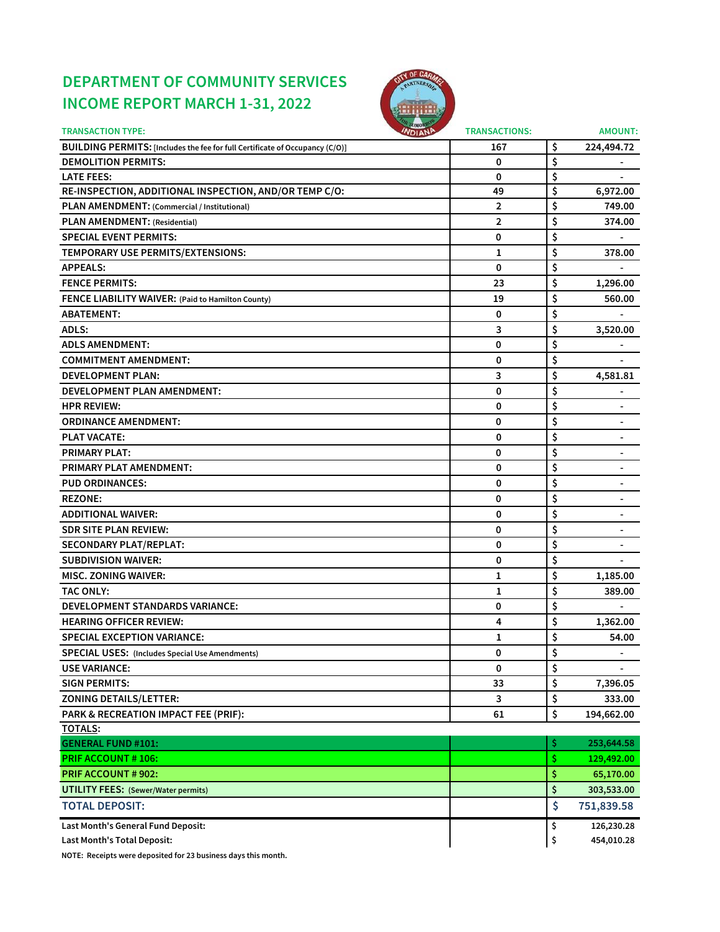# **DEPARTMENT OF COMMUNITY SERVICES INCOME REPORT MARCH 1-31, 2022**



| <b>TRANSACTION TYPE:</b>                                                     | <b>INDIANA</b><br><b>TRANSACTIONS:</b> |     | <b>AMOUNT:</b>           |
|------------------------------------------------------------------------------|----------------------------------------|-----|--------------------------|
| BUILDING PERMITS: [Includes the fee for full Certificate of Occupancy (C/O)] | 167                                    | \$  | 224,494.72               |
| <b>DEMOLITION PERMITS:</b>                                                   | 0                                      | \$  |                          |
| <b>LATE FEES:</b>                                                            | 0                                      | \$  |                          |
| RE-INSPECTION, ADDITIONAL INSPECTION, AND/OR TEMP C/O:                       | 49                                     | \$  | 6,972.00                 |
| PLAN AMENDMENT: (Commercial / Institutional)                                 | 2                                      | \$  | 749.00                   |
| PLAN AMENDMENT: (Residential)                                                | 2                                      | \$  | 374.00                   |
| <b>SPECIAL EVENT PERMITS:</b>                                                | 0                                      | \$  |                          |
| TEMPORARY USE PERMITS/EXTENSIONS:                                            | 1                                      | \$  | 378.00                   |
| <b>APPEALS:</b>                                                              | 0                                      | \$  |                          |
| <b>FENCE PERMITS:</b>                                                        | 23                                     | \$  | 1,296.00                 |
| FENCE LIABILITY WAIVER: (Paid to Hamilton County)                            | 19                                     | \$  | 560.00                   |
| <b>ABATEMENT:</b>                                                            | 0                                      | \$  |                          |
| ADLS:                                                                        | 3                                      | \$  | 3,520.00                 |
| <b>ADLS AMENDMENT:</b>                                                       | 0                                      | \$  |                          |
| <b>COMMITMENT AMENDMENT:</b>                                                 | 0                                      | \$  |                          |
| <b>DEVELOPMENT PLAN:</b>                                                     | 3                                      | \$  | 4,581.81                 |
| DEVELOPMENT PLAN AMENDMENT:                                                  | 0                                      | \$  |                          |
| <b>HPR REVIEW:</b>                                                           | 0                                      | \$  | $\blacksquare$           |
| <b>ORDINANCE AMENDMENT:</b>                                                  | 0                                      | \$  | $\overline{\phantom{a}}$ |
| <b>PLAT VACATE:</b>                                                          | 0                                      | \$  | $\blacksquare$           |
| <b>PRIMARY PLAT:</b>                                                         | 0                                      | \$  | $\overline{\phantom{a}}$ |
| <b>PRIMARY PLAT AMENDMENT:</b>                                               | 0                                      | \$  |                          |
| <b>PUD ORDINANCES:</b>                                                       | 0                                      | \$  |                          |
| <b>REZONE:</b>                                                               | 0                                      | \$  |                          |
| <b>ADDITIONAL WAIVER:</b>                                                    | 0                                      | \$  |                          |
| <b>SDR SITE PLAN REVIEW:</b>                                                 | 0                                      | \$  |                          |
| <b>SECONDARY PLAT/REPLAT:</b>                                                | 0                                      | \$  |                          |
| <b>SUBDIVISION WAIVER:</b>                                                   | 0                                      | \$  |                          |
| <b>MISC. ZONING WAIVER:</b>                                                  | 1                                      | \$  | 1,185.00                 |
| <b>TAC ONLY:</b>                                                             | 1                                      | \$  | 389.00                   |
| DEVELOPMENT STANDARDS VARIANCE:                                              | 0                                      | \$  |                          |
| <b>HEARING OFFICER REVIEW:</b>                                               | 4                                      | \$  | 1,362.00                 |
| <b>SPECIAL EXCEPTION VARIANCE:</b>                                           | 1                                      | \$  | 54.00                    |
| <b>SPECIAL USES:</b> (Includes Special Use Amendments)                       | 0                                      | \$  |                          |
| <b>USE VARIANCE:</b>                                                         | 0                                      | \$  |                          |
| <b>SIGN PERMITS:</b>                                                         | 33                                     | \$  | 7,396.05                 |
| <b>ZONING DETAILS/LETTER:</b>                                                | 3                                      | \$  | 333.00                   |
| PARK & RECREATION IMPACT FEE (PRIF):                                         | 61                                     | \$  | 194,662.00               |
| <b>TOTALS:</b>                                                               |                                        |     |                          |
| <b>GENERAL FUND #101:</b>                                                    |                                        | \$  | 253,644.58               |
| <b>PRIF ACCOUNT #106:</b>                                                    |                                        | \$. | 129,492.00               |
| <b>PRIF ACCOUNT # 902:</b>                                                   |                                        | \$  | 65,170.00                |
| <b>UTILITY FEES: (Sewer/Water permits)</b>                                   |                                        | \$  | 303,533.00               |
| <b>TOTAL DEPOSIT:</b>                                                        |                                        | \$  | 751,839.58               |
| Last Month's General Fund Deposit:                                           |                                        | \$  | 126,230.28               |
| Last Month's Total Deposit:                                                  |                                        | \$  | 454,010.28               |

**NOTE: Receipts were deposited for 23 business days this month.**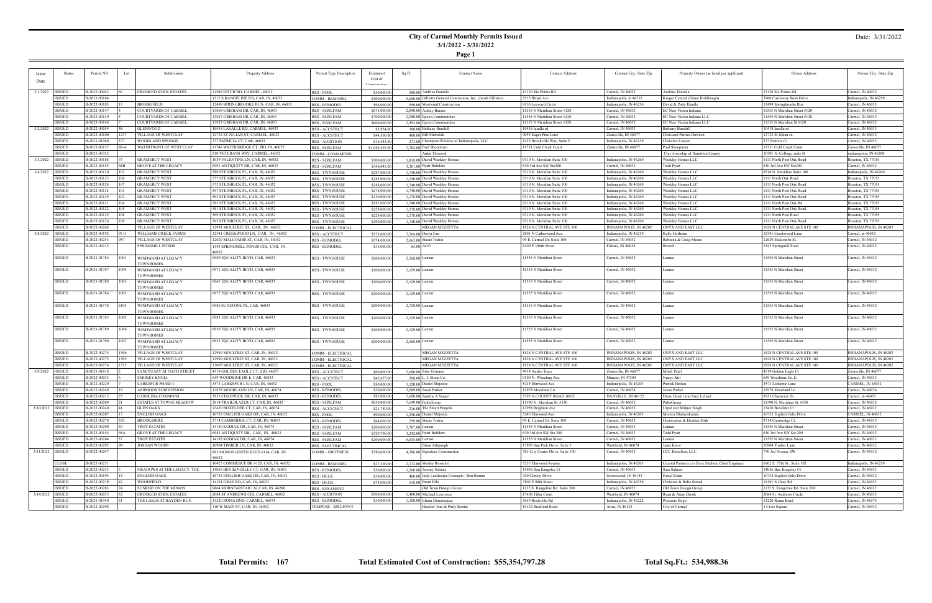## **City of Carmel Monthly Permits Issued 3/1/2022 - 3/31/2022**

## **Page 1**

### Date: 3/31/2022

|          | <b>Status</b>    | Permit NO    | Lot   | Subdivision                            | Property Address                       | Permit Type Description | Estimated      | Sq Ft             | <b>Contact Name</b>                                            | <b>Contact Address</b>           | Contact City, State Zip | Property Owner (as listed per applicant)          | Owner Address                   | Owner City, State Zip  |
|----------|------------------|--------------|-------|----------------------------------------|----------------------------------------|-------------------------|----------------|-------------------|----------------------------------------------------------------|----------------------------------|-------------------------|---------------------------------------------------|---------------------------------|------------------------|
|          |                  |              |       |                                        |                                        |                         | Cost of        |                   |                                                                |                                  |                         |                                                   |                                 |                        |
|          |                  |              |       |                                        |                                        |                         | Construction   |                   |                                                                |                                  |                         |                                                   |                                 |                        |
| 3/1/2022 | <b>ISSUED</b>    | B-2022-00043 |       | CROOKED STICK ESTATES                  | 11590 DITCH RD, CARMEL, 46032          | <b>RES-POOL</b>         | \$50,000.00    |                   | 500,00 Andrius Doniela                                         | 13120 Six Points Rd              | Carmel, IN 46032        | Andrius Doniela                                   | 13120 Six Points Rd             | Carmel, IN 46032       |
|          | <b>ISSUED</b>    | B-2022-00164 |       |                                        | 1217 S RANGELINE RD, CAR, IN, 46032    | COMM - REMODEL          | \$400,000.00   |                   | 5.000.00 Gilliatte General Contractors, Inc. (Jacob Gilliatte) | 2515 Bloyd Ave                   | ndianapolis, in 46218   | Kroger Central (Diane Hollibaugh)                 | 5960 Castleway West Drive       | ndianapolis, IN 46250  |
|          | <b>ISSUED</b>    | B-2022-00183 |       | <b>BROOKFIELD</b>                      | 12499 SPRINGBROOKE RUN, CAR, IN, 46033 | <b>RES - REMODEL</b>    | \$96,000.00    |                   | 550.00 Westwind Construction                                   | 9110 Leeward Circle              | ndianapolis, IN 46256   | David & Patty Hurdle                              | 12499 Springbrooke Run          | Carmel, IN 46033       |
|          | ISSUED           | B-2022-00147 |       | <b>COURTYARDS OF CARMEL</b>            | 13869 GRISHAM DR, CAR, IN, 46033       |                         |                |                   | 2,890.00 Ashley Barnes                                         | 11555 N Meridian Street #120     | Carmel, IN 46032        | EC New Vision Indiana                             | 11555 N Meridian Street #120    | Carmel, IN 46032       |
|          |                  |              |       |                                        |                                        | RES - SGNLFAM           | \$675,000.00   |                   |                                                                |                                  |                         |                                                   |                                 |                        |
|          | ISSUED           | B-2022-00149 |       | <b>COURTYARDS OF CARMEL</b>            | 13887 GRISHAM DR, CAR, IN, 46033       | RES - SGNLFAM           | \$700,000.00   |                   | 2,950.00 Epcon Communities                                     | 11555 N Meridian Street #120     | Carmel, IN 46032        | EC New Vision Indiana LLC                         | 11555 N Meridian Street #120    | Carmel, IN 46032       |
|          | <b>ISSUED</b>    | B-2022-00148 |       | <b>COURTYARDS OF CARMEL</b>            | 13923 GRISHAM DR, CAR, IN, 46033       | RES - SGNLFAM           | \$600,000.00   |                   | 2,593.00 Epcon Communities                                     | 11555 N Meridian Street #120     | Carmel, IN 46032        | EC New Vision Indiana LLC                         | 11555 N Meridian St #120        | Carmel, IN 46032       |
| 3/2/2022 | <b>ISSUED</b>    | B-2022-00054 |       | <b>GLENWOOD</b>                        | 10418 LASALLE RD, CARMEL, 46033        | <b>RES - ACCSTRCT</b>   | \$3,954.00     |                   | 160.00 Bethany Burchill                                        | 10418 lasalle rd                 | Carmel, IN 46033        | Bethany Burchill                                  | 10418 lasalle rd                | Carmel, IN 46033       |
|          | ISSUED           | B-2022-00100 | 1237  | <b>VILLAGE OF WESTCLAY</b>             | 12732 ST JULIAN ST, CARMEL, 46032      | <b>RES-ACCSTRCT</b>     | \$44,500.00    |                   | 400.00 Bill Michalak                                           | 4055 Sugar Pine Lane             | Zionsville, IN 46077    | Chris and Patrice Dawson                          | 12732 St Julian st.             | Carmel, IN 46032       |
|          | <b>ISSUED</b>    | B-2021-01960 |       | <b>WOODLAND SPRINGS</b>                | 377 PATRICIA CT, CAR, 46033            | <b>RES - ADDITION</b>   | \$16,443.00    |                   | 273.00 Champion Window of Indianapolis, LLC                    | 1435 Brookville Way, Suite E     | ndianapolis, IN 46239   | Christina Larson                                  | 377 Patricia Ct                 | Carmel, IN 46033       |
|          | <b>ISSUED</b>    | B-2022-00157 | 88-A  | WATERFRONT OF WEST CLAY                | 11746 WATERBRIDGE CT, ZIO, IN, 46077   | RES - SGNLFAM           | \$1,085,497.00 |                   | 7,782.00 Paul Shoopman                                         | 11731 Cold Creek Court           | Zionsville, IN 46077    | Paul Shoopman                                     | 11731 Cold Creek Court          | Zionsville, IN 46077   |
|          | ISSUED           | B-2021-00325 |       |                                        | 210 VETERANS WAY, CARMEL, 46032        | COMM - COMAMEND         |                |                   | Ankit Tibrewal                                                 |                                  |                         | Clay township of Hamilton County                  | 10701 N. College, suite B       | indianapolis, IN 46280 |
| 3/3/2022 | <b>ISSUED</b>    | B-2022-00188 |       | <b>GRAMERCY WEST</b>                   | 1039 VALENTINE LN, CAR, IN, 46032      | RES - SGNLFAM           | \$300,000.00   |                   | 1,818.00 David Weekley Homes                                   | 9310 N. Meridian Suite 100       | Indianapolis, IN 46260  | Weekley Homes LLC                                 | 1111 North Post Oak Road        | Houston, TX 77055      |
|          | <b>ISSUED</b>    | B-2022-00155 | 68B   | <b>GROVE AT THE LEGACY</b>             | 6991 ANTIQUITY DR, CAR, IN, 46033      | RES - SGNLFAM           | \$348,045.00   |                   | 3,301.00 Pyatt Builders                                        | 630 3rd Ave SW Ste200            | Carmel, IN 46032        | <b>Todd Pyatt</b>                                 | 630 3rd Ave SW Ste200           | Carmel, IN 46032       |
| 3/4/2022 | <b>ISSUED</b>    | B-2022-00120 | 103   | <b>GRAMERCY WEST</b>                   | 589 STEINBECK PL, CAR, IN, 46032       | <b>RES - TWNHOUSE</b>   | \$287,000.00   |                   | 1.740.00 David Weekley Homes                                   | 9310 N. Meridian Suite 100       | ndianapolis, IN 46260   | Weekley Homes LLC                                 | 9310 N. Meridian Suite 100      | ndianapolis, IN 46260  |
|          | ISSUED           | B-2022-00123 | 106   | <b>GRAMERCY WEST</b>                   | 577 STEINBECK PL, CAR, IN, 46032       | <b>RES - TWNHOUSE</b>   | \$285,000.00   |                   | 1,740.00 David Weekley Homes                                   | 9310 N. Meridian Suite 100       | ndianapolis, IN 46260   | Weekley Homes LLC                                 | 1111 North Oak Road             | Iouston, TX 77055      |
|          | ISSUED           | B-2022-00124 |       | <b>GRAMERCY WEST</b>                   | 573 STEINBECK PL, CAR, IN, 46032       | <b>RES - TWNHOUSE</b>   | \$288,000.0    |                   | 1,740,00 David Weekley Homes                                   | 9310 N. Meridian Suite 100       | ndianapolis, IN 46260   | Weekley Homes LLC                                 | 1111 North Post Oak Road        | Houston, TX 77055      |
|          | <b>ISSUED</b>    | B-2022-00118 | 101   | <b>GRAMERCY WEST</b>                   | 597 STEINBECK PL, CAR, IN, 46032       |                         |                |                   |                                                                | 9310 N. Meridian Suite 100       |                         | Weekley Homes LLC                                 | 1111 North Post Oak Road        | Iouston, TX 77055      |
|          | ISSUED           |              | 102   |                                        | 593 STEINBECK PL, CAR, IN, 46032       | <b>RES - TWNHOUSE</b>   | \$278,000.00   |                   | 1,740,00 David Weekley Homes                                   | 9310 N. Meridian Suite 100       | ndianapolis, IN 46260   |                                                   |                                 |                        |
|          |                  | B-2022-00119 |       | <b>GRAMERCY WEST</b>                   |                                        | <b>RES - TWNHOUSE</b>   | \$230,000.00   |                   | 1,178.00 David Weekley Homes                                   |                                  | Indianapolis, IN 46260  | Weekley Homes LLC                                 | 1111 North Post Oak Road        | Iouston, TX 77055      |
|          | <b>ISSUED</b>    | B-2022-00121 | 104   | <b>GRAMERCY WEST</b>                   | 585 STEINBECK PL, CAR, IN, 46032       | <b>RES - TWNHOUSE</b>   | \$287,000.00   |                   | 1.740.00 David Weekley Homes                                   | 9310 N. Meridian Suite 100       | ndianapolis, IN 46260   | Weekley Homes LLC                                 | 1111 North Post Oak Rd          | Houston, TX 77055      |
|          | <b>ISSUED</b>    | B-2022-00122 | 105   | <b>GRAMERCY WEST</b>                   | 581 STEINBECK PL, CAR, IN, 46032       | <b>RES - TWNHOUSE</b>   | \$229,000.00   |                   | 1,178.00 David Weekley Homes                                   | 9310 N. Meridian Suite 100       | ndianapolis, IN 46260   | Weekley Homes LLC                                 | 1111 North Post Oak Road        | Houston, TX 77055      |
|          | ISSUED           | B-2022-00125 | 108   | <b>GRAMERCY WEST</b>                   | 569 STEINBECK PL, CAR, IN, 46032       | <b>RES - TWNHOUSE</b>   | \$229,000.00   |                   | 1,178,00 David Weekley Homes                                   | 9310 N. Meridian Suite 100       | Indianapolis, IN 46260  | Weekley Homes LLC                                 | 1111 North Post Road            | Iouston, TX 77055      |
|          | <b>ISSUED</b>    | B-2022-00126 |       | <b>GRAMERCY WEST</b>                   | 565 STEINBECK PL, CAR, IN, 46032       | <b>RES - TWNHOUSE</b>   | \$290,000.00   |                   | 1.740.00 David Weekley Homes                                   | 9310 N. Meridian Suite 100       | ndianapolis, IN 46260   | Weeklev Homes LLC                                 | 1111 North Post Oak Road        | ouston, TX 77055       |
|          | <b>ISSUED</b>    | B-2022-00268 |       | <b>VILLAGE OF WESTCLAY</b>             | 12991 MOULTRIE ST, CAR, IN, 46032      | COMM - ELECTRICAL       |                |                   | MEGAN MEZZETTA                                                 | 1828 N CENTRAL AVE STE 100       | INDIANAPOLIS, IN 46202  | <b>ONYX AND EAST LLC</b>                          | 1828 N CENTRAL AVE STE 100      | INDIANAPOLIS, IN 46202 |
| 3/8/2022 | <b>ISSUED</b>    | B-2022-00192 | Pt 11 | <b>WILLIAMS CREEK FARMS</b>            | 12341 CREEKWOOD LN, CAR, IN, 46032     | <b>RES - ACCSTRCT</b>   | \$375,000.00   |                   | 7,264,00 Daryn Fair                                            | 2801 N Catherwood Ave.           | Indianapolis, IN 46219  | Kelly Hoffman                                     | 12341 Creekwood Lane            | Carmel, in 46032       |
|          | ISSUED           | B-2022-00253 | 957   | <b>VILLAGE OF WESTCLAY</b>             | 12629 MALCOMBE ST, CAR, IN, 46032      | <b>RES - REMODEL</b>    | \$374,000.00   |                   | 2,663.00 Stacie Trahin                                         | 99 E. Carmel Dr. Suite 100       | Carmel, IN 46032        | Rebecca & Craig Moore                             | 12629 Malcombe St.              | Carmel, IN 46032       |
|          | ISSUED           | B-2022-00215 |       | SPRINGMILL PONDS                       | 1543 SPRINGMILL PONDS CIR, CAR, IN,    | RES - REMODEL           | \$36,000.00    |                   | 65.00 ACO                                                      | 8100 E 106th Street              | Fishers, IN 46038       | Broach                                            | 1543 Springmill Pond            | Carmel, IN 46032       |
|          |                  |              |       |                                        | 46032                                  |                         |                |                   |                                                                |                                  |                         |                                                   |                                 |                        |
|          | <b>ISSUED</b>    | B-2021-01784 | 1001  | WINDWARD AT LEGACY                     | 6989 EQUALITY BLVD, CAR, 46033         | <b>RES - TWNHOUSE</b>   | \$200,000.00   |                   | 2,568.00 Lennar                                                | 11555 N Meridian Street          | Carmel, IN 46032        | Lennar                                            | 11555 N Meridian Street         | Carmel, IN 46032       |
|          |                  |              |       | <b>TOWNHOMES</b>                       |                                        |                         |                |                   |                                                                |                                  |                         |                                                   |                                 |                        |
|          | ISSUED           | B-2021-01787 | 1004  | WINDWARD AT LEGACY<br><b>TOWNHOMES</b> | 6971 EQUALITY BLVD, CAR, 46033         | <b>RES - TWNHOUSE</b>   | \$200,000.00   |                   | 2,129.00 Lennar                                                | 11555 N Meridian Street          | Carmel, IN 46032        | Lennar                                            | 11555 N Meridian Street         | Carmel, IN 46032       |
|          | ISSUED           | B-2021-01788 | 1005  | WINDWARD AT LEGACY                     | 6965 EQUALITY BLVD, CAR, 46033         | <b>RES - TWNHOUSE</b>   | \$200,000.00   |                   |                                                                | 11555 N Meridian Street          | Carmel, IN 46032        | Lennar                                            | 11555 N Meridian Street         | Carmel, IN 46032       |
|          |                  |              |       | <b>TOWNHOMES</b>                       |                                        |                         |                |                   | $2,129.00$ Lennar                                              |                                  |                         |                                                   |                                 |                        |
|          | <b>ISSUED</b>    | B-2021-01786 | 1003  |                                        |                                        |                         |                |                   |                                                                | 11555 N Meridian Street          |                         | Lennar                                            | 11555 N Meridian Street         | Carmel, IN 46032       |
|          |                  |              |       | WINDWARD AT LEGACY<br><b>TOWNHOMES</b> | 6977 EQUALITY BLVD, CAR, 46033         | <b>RES - TWNHOUSE</b>   | \$200,000.00   |                   | 2,129.00 Lennar                                                |                                  | Carmel, IN 46032        |                                                   |                                 |                        |
|          |                  |              |       |                                        |                                        |                         |                |                   |                                                                |                                  |                         |                                                   |                                 |                        |
|          | ISSUED           | B-2021-01578 | 2105  | WINDWARD AT LEGACY                     | 6980 SUNSTONE PL, CAR, 46033           | RES - TWNHOUSE          | \$200,000.00   |                   | 2,758.00 Lennar                                                | 11555 N Meridian Street          | Carmel, IN 46032        | Lennar                                            | 11555 N Meridian Street         | Carmel, IN 46032       |
|          |                  |              |       | <b>TOWNHOMES</b>                       |                                        |                         |                |                   |                                                                |                                  |                         |                                                   |                                 |                        |
|          | ISSUED           | B-2021-01785 | 1002  | WINDWARD AT LEGACY                     | 6983 EQUALITY BLVD, CAR, 46033         | <b>RES - TWNHOUSE</b>   | \$200,000.00   | $2,129.00$ Lennar |                                                                | 11555 N Meridian Street          | Carmel, IN 46032        | Lennar                                            | 11555 N Meridian Street         | Carmel, IN 46032       |
|          |                  |              |       | <b>TOWNHOMES</b>                       |                                        |                         |                |                   |                                                                |                                  |                         |                                                   |                                 |                        |
|          | ISSUED           | B-2021-01789 | 1006  | WINDWARD AT LEGACY                     | 6959 EQUALITY BLVD, CAR, 46033         | <b>RES - TWNHOUSE</b>   | \$200,000.00   |                   | $2,129.00$ Lennar                                              | 11555 N Meridian Street          | Carmel, IN 46032        | Lennar                                            | 11555 N Meridian Street         | Carmel, IN 46032       |
|          |                  |              |       | <b>TOWNHOMES</b>                       |                                        |                         |                |                   |                                                                |                                  |                         |                                                   |                                 |                        |
|          | ISSUED           | B-2021-01790 | 1007  | WINDWARD AT LEGACY                     | 6953 EQUALITY BLVD, CAR, 46033         | <b>RES - TWNHOUSE</b>   | \$200,000.00   |                   | 2,568.00 Lennar                                                | 11555 N Meridian Street          | Carmel, IN 46032        | Lennar                                            | 11555 N Meridian Street         | Carmel, IN 46032       |
|          |                  |              |       | <b>TOWNHOMES</b>                       |                                        |                         |                |                   |                                                                |                                  |                         |                                                   |                                 |                        |
|          | <b>ISSUED</b>    | B-2022-00275 | 1306  | VILLAGE OF WESTCLAY                    | 12989 MOULTRIE ST, CAR, IN, 46032      | COMM - ELECTRICAL       |                |                   | MEGAN MEZZETTA                                                 | 1828 N CENTRAL AVE STE 100       | INDIANAPOLIS, IN 46202  | ONYX AND EAST LLC                                 | 1828 N CENTRAL AVE STE 100      | INDIANAPOLIS, IN 46202 |
|          | ISSUED           | B-2022-00275 | 1305  | VILLAGE OF WESTCLAY                    | 12989 MOULTRIE ST, CAR, IN, 46032      | COMM - ELECTRICAL       |                |                   | MEGAN MEZZETTA                                                 | 1828 N CENTRAL AVE STE 100       | NDIANAPOLIS, IN 46202   | ONYX AND EAST LLC                                 | 1828 N CENTRAL AVE STE 100      | NDIANAPOLIS, IN 46202  |
|          | <b>ISSUED</b>    | B-2022-00276 | 1315  | VILLAGE OF WESTCLAY                    | 13005 MOULTRIE ST, CAR, IN, 46032      | COMM - ELECTRICAL       |                |                   | <b>MEGAN MEZZETTA</b>                                          | 1828 N CENTRAL AVE STE 100       | NDIANAPOLIS, IN 46202   | ONYX AND EAST LLC                                 | 1828 N CENTRAL AVE STE 100      | NDIANAPOLIS, IN 46202  |
| 3/9/2022 | <b>ISSUED</b>    | B-2021-01818 |       | SANCTUARY AT 116TH STREET              | 4519 GOLDEN EAGLE CT, ZIO, 46077       | <b>RES-ACCSTRCT</b>     | \$60,000.00    |                   | 2,000.00 John Grimme                                           | 4914 Austin Trace                | Zionsville, IN 46077    | Mitali Patel                                      | 4519 Golden Eagle Ct            | Zionsville, IN 46077   |
|          | ISSUED           | B-2022-00033 |       | <b>SMOKEY KNOLI</b>                    | 659 WOODBINE DR E, CAR, 46033          | <b>RES - ACCSTRCT</b>   | \$42,675.00    |                   | 208.00 L. J. Stone Co.                                         | 9100 N. Wheeling Ave.            | Muncie, IN 47304        | Nancy Kitt                                        | 659 Woodbine Dr. E              | Carmel, IN 46033       |
|          | <b>ISSUED</b>    | B-2022-00229 |       | <b>LARKSPUR PHASE 1</b>                | 3573 LARKSPUR LN, CAR, IN, 46032       | RES - POOL              | \$80,000.00    |                   | 1,120.00 Daniel Majestic                                       | 5245 Elmwood Ave                 | Indianapolis, IN 46203  | Patrick Helton                                    | 3573 Larkspur Lane              | CARMEL, IN 46032       |
|          | ISSUED           | B-2022-00249 |       | ASHMOOR SUBDIVISION                    | 12978 MOORLAND LN, CAR, IN, 46074      | <b>RES - REMODEL</b>    | \$30,000.0     |                   | 2.069.00 Jason Parker                                          | 12978 Moorland Ln                | Carmel, IN 46074        | Jason Parker                                      | 12978 Moorland Ln               | Carmel, IN 46074       |
|          | <b>ISSUED</b>    | B-2022-00212 |       | <b>CAROLINA COMMONS</b>                | 3935 CHADWICK DR, CAR, IN, 46033       | <b>RES - REMODEL</b>    | \$85,000.00    |                   | 1,600,00 Santino A Vesper                                      | 3793 N COUNTY ROAD 100 E         | DANVILLE, IN 46122      | Drew Hewitt and Amy Leland                        | 3935 Chadwick Dr.               | Carmel, In 46033       |
|          | <b>ISSUED</b>    | B-2022-00209 |       | <b>ESTATES AT TOWNE MEADOW</b>         | 2814 TRAILBLAZER CT, CAR, IN, 46032    | RES - SGNLFAM           | \$850,000.00   |                   | 7,649.00 PulteGroup                                            | 11590 N. Meridian St. #530       | Carmel, IN 46032        | PulteGroup                                        | 11590 N. Meridian St. #530      | Carmel, IN 46032       |
|          | 3/10/2022 ISSUED | B-2022-00240 | 141   | <b>GLEN OAKS</b>                       | 13420 BOXELDER CT, CAR, IN, 46074      | RES - ACCSTRCT          | \$21,780.00    |                   | 216.00 The Smart Pergola                                       | 12958 Brighton Ave               | Carmel, IN 46032        | Utpal and Shilpee Singh                           | 13420 Boxelder Ct               | Carmel, IN 46032       |
|          | <b>ISSUED</b>    | B-2022-00207 |       | <b>ENGLISH OAKS</b>                    | 10733 ENGLISH OAKS DR, CAR, IN, 46032  | RES - POOL              | \$90,000,00    |                   | 1,250.00 Daniel Majestic                                       | 5245 Elmwood Ave                 | Indianapolis, IN 46203  | Monica Blumenkrants                               | 10733 English Oaks Drive        | CARMEL, IN 46032       |
|          | <b>ISSUED</b>    |              |       |                                        |                                        |                         |                |                   |                                                                |                                  |                         | Christopher & Heather Stith                       |                                 |                        |
|          |                  | B-2022-00278 | 352   | <b>BROOKSHIRE</b>                      | 3714 CAMBRIDGE CT, CAR, IN, 46033      | <b>RES - REMODEL</b>    | \$64,000.00    |                   | 259.00 Stacie Trahin                                           | 99 E. Carmel Dr. Suite 100       | Carmel, IN 46032        |                                                   | 3714 Cambridge Ct.              | Carmel, IN 46033       |
|          | <b>ISSUED</b>    | B-2022-00200 |       | <b>TROY ESTATES</b>                    | 14180 KODIAK DR, CAR, IN, 46074        | <b>RES - SGNLFAM</b>    | \$200,000.00   |                   | 5,787.00 Lennar                                                | 11555 N Meridian Street          | Carmel, IN 46032        | Lennar                                            | 11555 N Meridian Street         | Carmel, IN 46032       |
|          | <b>ISSUED</b>    | B-2022-00154 | 68A   | <b>GROVE AT THE LEGACY</b>             | 6983 ANTIQUITY DR, CAR, IN, 46033      | <b>RES - SGNLFAM</b>    | \$329,798.00   |                   | 3,242.00 Pyatt Builders                                        | 630 3rd Ave SW Ste 200           | Carmel, IN 46032        | <b>Todd Pyatt</b>                                 | 630 3rd Ave SW Ste 200          | Carmel, IN 46032       |
|          | ISSUED           | B-2022-00204 |       | <b>TROY ESTATES</b>                    | 14192 KODIAK DR, CAR, IN, 46074        | RES - SGNLFAM           | \$200,000.00   |                   | 5,835.00 Lennar                                                | 11555 N Meridian Street          | Carmel, IN 46032        | Lennar                                            | 11555 N Meridian Street         | Carmel, IN 46032       |
|          | <b>ISSUED</b>    | B-2022-00292 |       | <b>JORDAN WOODS</b>                    | 10904 TIMBER LN, CAR, IN, 46032        | RES - ELECTRICAL        |                |                   | Brian Ashpaugh                                                 | 17903 Sun Park Drive, Suite 5    | Westfield, IN 46074     | Janet Kisor                                       | 10904 Timber Lane               | Carmel, IN 46032       |
|          | 3/11/2022 ISSUED | B-2022-00247 |       |                                        | 885 MONON GREEN BLVD #114, CAR, IN,    | <b>COMM - NWTENFIN</b>  | \$580,000.0    |                   | 4,396.00 Signature Construction                                | 385 City Center Drive, Suite 100 | Carmel, IN 46032        | CCC Hamilton, LLC                                 | 770 3rd Avenue SW               | Carmel, IN 46032       |
|          |                  |              |       |                                        | 46032                                  |                         |                |                   |                                                                |                                  |                         |                                                   |                                 |                        |
|          | CLOSE            | B-2022-00251 |       |                                        | 10425 COMMERCE DR #120, CAR, IN, 46032 | COMM - REMODEL          | \$27,300.00    |                   | 2,172.00 Wesley Rosselot                                       | 5235 Elmwood Avenue              | Indianapolis, IN 46203  | Coastal Partners c/o Dave Shelton, Chief Engineer | 6602 E. 75th St., Suite 102     | Indianapolis, IN 46250 |
|          | <b>ISSUED</b>    | B-2022-00233 |       | MEADOWS AT THE LEGACY, THE             | 14056 BEN KINGSLEY CT, CAR, IN, 46033  | <b>RES - REMODEL</b>    | \$30,000.00    |                   | 1.200.00 Jeremy Salinas                                        | 14056 Ben Kingsley Ct            | Carmel, IN 46033        | Sara Salinas                                      | 14056 Ben Kingsley Ct           | Carmel, IN 46033       |
|          | ISSUED           | B-2022-00195 |       | <b>ENGLISH OAKS</b>                    | 10734 ENGLISH OAKS DR, CAR, IN, 46032  | <b>RES - DECK</b>       | \$30,000.00    |                   | 400.00 Indy Landscape Concepts / Ben Brunni                    | 420 Christy Drive                | Greenwood, IN 46143     | Faisal Khan                                       | 10734 English Oaks Drive        | Carmel, IN 46032       |
|          | <b>ISSUED</b>    | B-2022-00219 |       | WOODFIELD                              | 14191 GRAY RD, CAR, IN, 46033          | RES - DECK              | \$74,000.00    |                   | 518.00 Brant Hile                                              | 7802 E 88th Street               | Indianapolis, IN 46256  | Christian & Balie Strnad                          | 14191 N Gray Rd                 | Carmel, IN 46033       |
|          | <b>ISSUED</b>    | B-2022-00283 |       | SUNRISE ON THE MONON                   | 9864 MORNINGSTAR LN, CAR, IN, 46280    | <b>RES - RESAMEND</b>   |                |                   | Old Town Design Group                                          | 1132 S. Rangeline Rd. Suite 200  | Carmel, IN 46032        | Old Town Design Group                             | 1132 S. Rangeline Rd. Suite 200 | Carmel, IN 46032       |
|          | 3/14/2022 ISSUED | B-2022-00035 |       | CROOKED STICK ESTATES                  | 2084 ST ANDREWS CIR, CARMEL, 46032     | <b>RES - ADDITION</b>   | \$300,000.00   |                   | 1,400.00 Michael Lawrence                                      | 17406 Tiller Court               | Westfield, IN 46074     | Ryan & Anne Drook                                 | 2084 St. Andrews Circle         | Carmel, IN 46033       |
|          | <b>ISSUED</b>    | B-2021-01940 |       | THE LAKES AT HAYDEN RUN                | 13220 ROMA BND, CARMEL, 46074          | RES - REMODEL           | \$30,000.00    |                   | 1,100,00 Efrain Dominiquez                                     | 3659 Rockville Rd                | Indianapolis, IN 46222  | Precious Hogo                                     | 13220 Roma Bend                 | Carmel, IN 46074       |
|          | <b>ISSUED</b>    | B-2022-00298 |       |                                        | 110 W MAIN ST, CAR, IN, 46032          | TEMPUSE - SPCLEVNT      |                |                   | Hoosier Tent & Party Rental                                    | 10142 Bradford Road              | Avon, IN 46123          | City of Carmel                                    | 1 Civic Square                  | Carmel, IN 46032       |
|          |                  |              |       |                                        |                                        |                         |                |                   |                                                                |                                  |                         |                                                   |                                 |                        |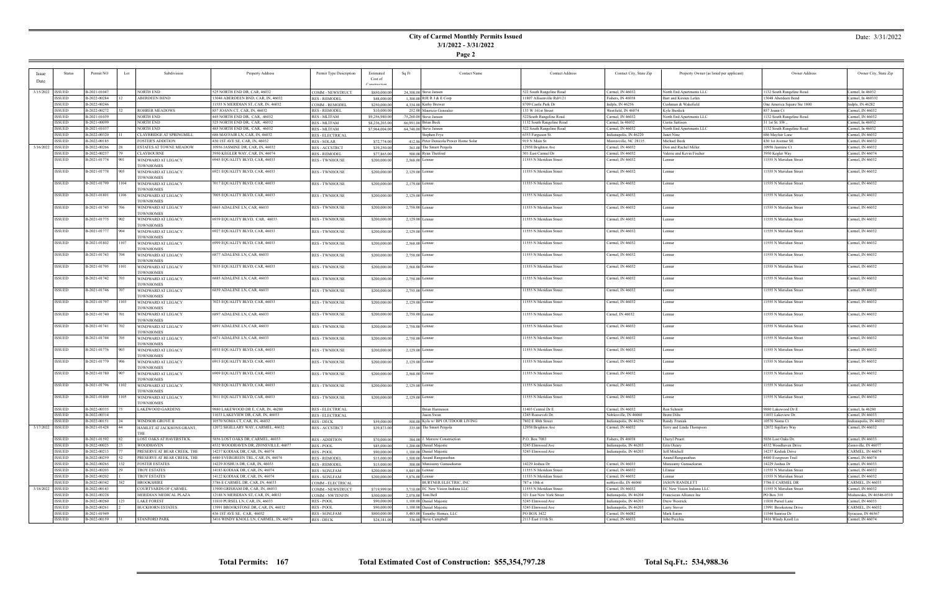## **City of Carmel Monthly Permits Issued 3/1/2022 - 3/31/2022**

**Page 2**

### Date: 3/31/2022

|                    | <b>Status</b>      | Permit NO    |      | Subdivision                     |                                        |                         |                |       | Contact Name                           | <b>Contact Address</b>    |                         |                                          | Owner Address               |                          |
|--------------------|--------------------|--------------|------|---------------------------------|----------------------------------------|-------------------------|----------------|-------|----------------------------------------|---------------------------|-------------------------|------------------------------------------|-----------------------------|--------------------------|
| <b>Issue</b>       |                    |              | Lot  |                                 | Property Address                       | Permit Type Description | Estimated      | Sq Ft |                                        |                           | Contact City, State Zip | Property Owner (as listed per applicant) |                             | Owner City, State Zip    |
| Date               |                    |              |      |                                 |                                        |                         | Cost of        |       |                                        |                           |                         |                                          |                             |                          |
|                    |                    |              |      |                                 |                                        |                         | Construction   |       |                                        |                           |                         |                                          |                             |                          |
|                    | 3/15/2022   ISSUED | B-2021-01047 |      | NORTH END                       | 525 NORTH END DR, CAR, 46032           | COMM - NEWSTRUCT        | \$850,000.0    |       | $24.308.00$ Steve Jansen               | 522 South Rangeline Road  | Carmel, IN 46032        | North End Apartments LLC                 | 1132 South Rangeline Road   | Carmel, In 46032         |
|                    | <b>ISSUED</b>      | B-2022-00284 |      | <b>ABERDEEN BEND</b>            | 13048 ABERDEEN BND, CAR, IN, 46032     | <b>RES - REMODEL</b>    | \$48,000.0     |       | 1,300.00 RJE R J & E Corp              | 11807 Allisonville Rd#121 | Fishers, IN 46038       | Bart and Kirsten Lefan                   | 13048 Aberdeen Bend         | Carmel, In 460332        |
|                    | <b>ISSUED</b>      | B-2022-00246 |      |                                 | 11555 N MERIDIAN ST, CAR, IN, 46032    | COMM - REMODEI          | \$250,000.00   |       | 4,334.00 Kathy Brewer                  | 8709 Castle Park Dr       | Indpls, IN 46256        | Cushman & Wakefield                      | One America Square Ste 1800 | Indpls, IN 46282         |
|                    | <b>ISSUED</b>      | B-2022-00272 |      | <b>ROHRER MEADOWS</b>           | 857 JOANN CT, CAR, IN, 46032           | <b>RES - REMODEI</b>    | \$10,000.0     |       | 252.00 Mauricio Gonzalez               | 133 W 161st Street        | Westfield, IN 46074     | Kyle Burdick                             | 857 Joann Ct                | Carmel, IN 46032         |
|                    |                    |              |      |                                 |                                        |                         |                |       |                                        |                           |                         |                                          |                             |                          |
|                    | <b>ISSUED</b>      | B-2021-01039 |      | NORTH END                       | 445 NORTH END DR, CAR, 46032           | <b>RES-MLTFAM</b>       | \$9,256,980.00 |       | 75,260,00 Steve Jansen                 | 522South Rangeline Road   | Carmel, IN 46032        | North End Apartments LLC                 | 1132 South Rangeline Road   | Carmel, IN 46032         |
|                    | <b>ISSUED</b>      | B-2021-00099 |      | NORTH END                       | 525 NORTH END DR, CAR, 46032           | RES - MLTFAM            | \$8,236,203.00 |       | 66,991.00 Brian Beck                   | 1132 South Rangeline Road | Carmel, In 46032        | <b>Curtis Sattison</b>                   | 31 1st St. SW.,             | Carmel, In 46032         |
|                    | <b>ISSUED</b>      | B-2021-01037 |      | NORTH END                       | 485 NORTH END DR, CAR, 46032           | <b>RES - MLTFAM</b>     | \$7,964,004.0  |       | 64,748.00 Steve Jansen                 | 522 South Rangeline Road  | Carmel, IN 46032        | North End Apartments LLC                 | 1132 South Rangeline Road   | Carmel, In 46032         |
|                    | <b>ISSUED</b>      | B-2022-00320 |      | <b>CLAYBRIDGE AT SPRINGMILL</b> | 686 MAYFAIR LN, CAR, IN, 46032         | <b>RES - ELECTRICAL</b> |                |       | Stephen Frye                           | 6353 Ferguson St.         | Indianapolis, IN 46220  | Janet Nine                               | 686 Mayfair Lane            | Carmel, IN 46032         |
|                    | ISSUED             | B-2022-00185 |      | <b>FOSTER'S ADDITION</b>        | 430 1ST AVE SE, CAR, IN, 46032         | <b>RES - SOLAR</b>      | \$72,774.00    |       | 412.86 Peter Denicola/Power Home Solar | 919 N Main St             | Mooresville, NC 28115   | Michael Beck                             | 430 1st Avenue SE           | Carmel, IN 46032         |
|                    |                    |              |      |                                 |                                        |                         |                |       |                                        |                           |                         |                                          |                             |                          |
| 3/16/2022          | <b>ISSUED</b>      | B-2022-00266 |      | <b>ESTATES AT TOWNE MEADOW</b>  | 10956 JASMINE DR, CAR, IN, 46032       | <b>RES - ACCSTRCT</b>   | \$39,250.0     |       | 363.00 The Smart Pergola               | 12958 Brighton Ave        | Carmel, IN 46032        | Don and Rachel Miller                    | 10956 Jasmine Ct            | Carmel, IN 46032         |
|                    | <b>ISSUED</b>      | B-2022-00237 |      | <b>CLAYBOURNE</b>               | 3950 KEGLER WAY, CAR, IN, 46074        | <b>RES - REMODEL</b>    | \$77,865.0     |       | 500.00 Ryan Thetford                   | 301 East Carmel Dr        | Carmel, IN 46032        | Valerie and Kevin Fischer                | 3950 Kegler Way             | Carmel, IN 46074         |
|                    | <b>ISSUED</b>      | B-2021-01774 | 901  | WINDWARD AT LEGACY              | 6945 EQUALITY BLVD, CAR, 46033         | <b>RES - TWNHOUSE</b>   | \$200,000.00   |       | 2,568.00 Lennar                        | 11555 N Meridian Street   | Carmel, IN 46032        | Lennar                                   | 11555 N Meridian Street     | Carmel, IN 46032         |
|                    |                    |              |      | <b>TOWNHOMES</b>                |                                        |                         |                |       |                                        |                           |                         |                                          |                             |                          |
|                    | ISSUED             | B-2021-01778 | 905  | WINDWARD AT LEGACY              | 6921 EQUALITY BLVD, CAR, 46033         | <b>RES-TWNHOUSE</b>     | \$200,000.00   |       | 2,129.00 Lennar                        | 11555 N Meridian Street   | Carmel, IN 46032        | Lennar                                   | 11555 N Meridian Street     | Carmel, IN 46032         |
|                    |                    |              |      | <b>TOWNHOMES</b>                |                                        |                         |                |       |                                        |                           |                         |                                          |                             |                          |
|                    | <b>ISSUED</b>      | B-2021-01799 | 104  |                                 | 7017 EQUALITY BLVD, CAR, 46033         | <b>RES - TWNHOUSE</b>   | \$200,000.0    |       | 2,179.00 Lennar                        | 11555 N Meridian Street   | Carmel, IN 46032        | Lennar                                   | 11555 N Meridian Street     | Carmel, IN 46032         |
|                    |                    |              |      | WINDWARD AT LEGACY              |                                        |                         |                |       |                                        |                           |                         |                                          |                             |                          |
|                    |                    |              |      | TOWNHOMES                       |                                        |                         |                |       |                                        |                           |                         |                                          |                             |                          |
|                    | ISSUED             | B-2021-01801 | 106  | WINDWARD AT LEGACY              | 7005 EQUALITY BLVD, CAR, 46033         | <b>RES - TWNHOUSE</b>   | \$200,000.0    |       | 2,129.00 Lennar                        | 11555 N Meridian Street   | Carmel, IN 46032        | Lennar                                   | 11555 N Meridian Street     | Carmel, IN 46032         |
|                    |                    |              |      | <b>TOWNHOMES</b>                |                                        |                         |                |       |                                        |                           |                         |                                          |                             |                          |
|                    | ISSUED             | B-2021-01745 | 706  | WINDWARD AT LEGACY              | 6865 ADALENE LN, CAR, 46033            | <b>RES-TWNHOUSE</b>     | \$200,000.00   |       | 2,758.00 Lennar                        | 11555 N Meridian Street   | Carmel, IN 46032        | Lennar                                   | 11555 N Meridian Street     | Carmel, IN 46032         |
|                    |                    |              |      | <b>TOWNHOMES</b>                |                                        |                         |                |       |                                        |                           |                         |                                          |                             |                          |
|                    | <b>ISSUED</b>      | B-2021-01775 | 902  | WINDWARD AT LEGACY              | 6939 EQUALITY BLVD, CAR, 46033         | <b>RES - TWNHOUSE</b>   | \$200,000.00   |       | $2,129.00$ Lennar                      | 11555 N Meridian Street   | Carmel, IN 46032        | Lennar                                   | 11555 N Meridian Street     | Carmel, IN 46032         |
|                    |                    |              |      | <b>TOWNHOMES</b>                |                                        |                         |                |       |                                        |                           |                         |                                          |                             |                          |
|                    | ISSUED             | B-2021-01777 |      |                                 | 6927 EQUALITY BLVD, CAR, 46033         |                         |                |       | 2,129.00 Lennar                        | 11555 N Meridian Street   | Carmel, IN 46032        |                                          | 11555 N Meridian Street     | Carmel, IN 46032         |
|                    |                    |              |      | WINDWARD AT LEGACY              |                                        | <b>RES - TWNHOUSE</b>   | \$200,000.00   |       |                                        |                           |                         | Lennar                                   |                             |                          |
|                    |                    |              |      | <b>TOWNHOMES</b>                |                                        |                         |                |       |                                        |                           |                         |                                          |                             |                          |
|                    | <b>ISSUED</b>      | B-2021-01802 | 107  | WINDWARD AT LEGACY              | 6999 EQUALITY BLVD, CAR, 46033         | <b>RES - TWNHOUSE</b>   | \$200,000.0    |       | 2,568.00 Lennar                        | 11555 N Meridian Street   | Carmel, IN 46032        | Lennar                                   | 11555 N Meridian Street     | Carmel, IN 46032         |
|                    |                    |              |      | TOWNHOMES                       |                                        |                         |                |       |                                        |                           |                         |                                          |                             |                          |
|                    | ISSUED             | B-2021-01743 | 704  | WINDWARD AT LEGACY              | 6877 ADALENE LN, CAR, 46033            | <b>RES - TWNHOUSE</b>   | \$200,000.0    |       | 2,758.00 Lennar                        | 11555 N Meridian Street   | Carmel, IN 46032        | Lennar                                   | 11555 N Meridian Street     | Carmel, IN 46032         |
|                    |                    |              |      | <b>TOWNHOMES</b>                |                                        |                         |                |       |                                        |                           |                         |                                          |                             |                          |
|                    | <b>ISSUED</b>      | B-2021-01795 | 101  | WINDWARD AT LEGACY              | 7035 EQUALITY BLVD, CAR, 46033         | <b>RES-TWNHOUSE</b>     | \$200,000.00   |       | 2,568.00 Lennar                        | 11555 N Meridian Street   | Carmel, IN 46032        | Lennar                                   | 11555 N Meridian Street     | Carmel, IN 46032         |
|                    |                    |              |      | <b>TOWNHOMES</b>                |                                        |                         |                |       |                                        |                           |                         |                                          |                             |                          |
|                    |                    |              |      |                                 |                                        |                         |                |       |                                        |                           |                         |                                          |                             |                          |
|                    | <b>ISSUED</b>      | B-2021-01742 | 703  | WINDWARD AT LEGACY              | 6885 ADALENE LN, CAR, 46033            | <b>RES - TWNHOUSE</b>   | \$200,000.00   |       | 2,758.00 Lennar                        | 11555 N Meridian Street   | Carmel, IN 46032        | Lennar                                   | 11555 N Meridian Street     | Carmel, IN 46032         |
|                    |                    |              |      | <b>TOWNHOMES</b>                |                                        |                         |                |       |                                        |                           |                         |                                          |                             |                          |
|                    | ISSUED             | B-2021-01746 |      | WINDWARD AT LEGACY              | 6859 ADALENE LN, CAR, 46033            | <b>RES - TWNHOUSE</b>   | \$200,000.00   |       | $2,755.00$ Lennar                      | 11555 N Meridian Street   | Carmel, IN 46032        | Lennar                                   | 11555 N Meridian Street     | Carmel, IN 46032         |
|                    |                    |              |      | <b>TOWNHOMES</b>                |                                        |                         |                |       |                                        |                           |                         |                                          |                             |                          |
|                    | <b>ISSUED</b>      | B-2021-01797 | 103  | WINDWARD AT LEGACY              | 7023 EQUALITY BLVD, CAR, 46033         | <b>RES - TWNHOUSE</b>   | \$200,000.0    |       | $2,129.00$ Lennar                      | 11555 N Meridian Street   | Carmel, IN 46032        | Lennar                                   | 11555 N Meridian Street     | Carmel, IN 46032         |
|                    |                    |              |      | TOWNHOMES                       |                                        |                         |                |       |                                        |                           |                         |                                          |                             |                          |
|                    | <b>ISSUED</b>      | B-2021-01740 |      |                                 | 6897 ADALENE LN, CAR, 46033            | <b>RES - TWNHOUSE</b>   | \$200,000.0    |       |                                        | 11555 N Meridian Street   | Carnel, IN 46032        | Lennar                                   | 11555 N Meridian Street     | Carmel, IN 46032         |
|                    |                    |              |      | WINDWARD AT LEGACY              |                                        |                         |                |       | 2,758.00 Lennar                        |                           |                         |                                          |                             |                          |
|                    |                    |              |      | <b>TOWNHOMES</b>                |                                        |                         |                |       |                                        |                           |                         |                                          |                             |                          |
|                    | ISSUED             | B-2021-01741 | 702  | WINDWARD AT LEGACY              | 6891 ADALENE LN, CAR, 46033            | <b>RES-TWNHOUSE</b>     | \$200,000.00   |       | 2,758.00 Lennar                        | 11555 N Meridian Street   | Carmel, IN 46032        | Lennar                                   | 11555 N Meridian Street     | Carmel, IN 46032         |
|                    |                    |              |      | <b>TOWNHOMES</b>                |                                        |                         |                |       |                                        |                           |                         |                                          |                             |                          |
|                    | <b>ISSUED</b>      | B-2021-01744 | 705. | WINDWARD AT LEGACY              | 6871 ADALENE LN, CAR, 46033            | <b>RES - TWNHOUSE</b>   | \$200,000.0    |       | 2,758.00 Lennar                        | 11555 N Meridian Street   | Carmel, IN 46032        | Lennar                                   | 11555 N Meridian Street     | Carmel, IN 46032         |
|                    |                    |              |      | <b>TOWNHOMES</b>                |                                        |                         |                |       |                                        |                           |                         |                                          |                             |                          |
|                    | ISSUED             | B-2021-01776 | 903  | WINDWARD AT LEGACY              | 6933 EQUALITY BLVD, CAR, 46033         | <b>RES - TWNHOUSE</b>   | \$200,000.00   |       | 2,129.00 Lennar                        | 11555 N Meridian Street   | Carmel, IN 46032        | Lennar                                   | 11555 N Meridian Street     | Carmel, IN 46032         |
|                    |                    |              |      | <b>TOWNHOMES</b>                |                                        |                         |                |       |                                        |                           |                         |                                          |                             |                          |
|                    | <b>ISSUED</b>      | B-2021-01779 | 906  |                                 | 6915 EQUALITY BLVD, CAR, 46033         | <b>RES - TWNHOUSE</b>   |                |       | $2,129.00$ Lennar                      | 11555 N Meridian Street   | Carmel, IN 46032        | Lennar                                   | 11555 N Meridian Street     | Carmel, IN 46032         |
|                    |                    |              |      | WINDWARD AT LEGACY              |                                        |                         | \$200,000.0    |       |                                        |                           |                         |                                          |                             |                          |
|                    |                    |              |      | <b>TOWNHOMES</b>                |                                        |                         |                |       |                                        |                           |                         |                                          |                             |                          |
|                    | ISSUED             | B-2021-01780 | 907  | WINDWARD AT LEGACY              | 6909 EQUALITY BLVD, CAR, 46033         | <b>RES - TWNHOUSE</b>   | \$200,000.0    |       | 2,568.00 Lennar                        | 11555 N Meridian Street   | Carmel, IN 46032        | Lennar                                   | 11555 N Meridian Street     | Carmel, IN 46032         |
|                    |                    |              |      | <b>TOWNHOMES</b>                |                                        |                         |                |       |                                        |                           |                         |                                          |                             |                          |
|                    | ISSUED             | B-2021-01796 | 1102 | WINDWARD AT LEGACY              | 7029 EQUALITY BLVD, CAR, 46033         | <b>RES-TWNHOUSE</b>     | \$200,000.00   |       | $2,129.00$ Lennar                      | 11555 N Meridian Street   | Carmel, IN 46032        | Lennar                                   | 11555 N Meridian Street     | Carmel, IN 46032         |
|                    |                    |              |      | <b>TOWNHOMES</b>                |                                        |                         |                |       |                                        |                           |                         |                                          |                             |                          |
|                    | <b>ISSUED</b>      | B-2021-01800 | 105  | WINDWARD AT LEGACY              | 7011 EQUALITY BLVD, CAR, 46033         | <b>RES - TWNHOUSE</b>   | \$200,000.0    |       | $2,129.00$ Lennar                      | 11555 N Meridian Street   | Carmel, IN 46032        | Lennar                                   | 1555 N Meridian Street      | Carmel, IN 46032         |
|                    |                    |              |      | OWNHOMES                        |                                        |                         |                |       |                                        |                           |                         |                                          |                             |                          |
|                    | <b>ISSUED</b>      | B-2022-00335 |      | <b>LAKEWOOD GARDENS</b>         | 9880 LAKEWOOD DR E, CAR, IN, 46280     | <b>RES - ELECTRICAL</b> |                |       | <b>Brian Harmeson</b>                  | 11403 Central Dr E        | Carmel, IN 46032        | Ron Schmitt                              | 9880 Lakewood Dr E          | Carmel, In 46280         |
|                    | ISSUED             | B-2022-00314 |      |                                 | 11033 LAKEVIEW DR, CAR, IN, 46033      |                         |                |       | Jason Swan                             | 1245 Roosevelt Dr.        | Noblesville, IN 46060   | <b>Brent Dilts</b>                       | 11033 Lakeview Dr.          | Carmel, IN 46033         |
|                    |                    |              |      |                                 |                                        | <b>RES - ELECTRICAL</b> |                |       |                                        |                           |                         |                                          |                             |                          |
|                    | ISSUED             | B-2022-00151 |      | WINDSOR GROVE II                | 10570 NOMA CT, CAR, IN, 46032          | <b>RES - DECK</b>       | \$59,000.0     |       | 500.00 Kyla w/ BPI OUTDOOR LIVING      | 7802 E 88th Street        | Indianapolis, IN 46256  | Randy Franiak                            | 10570 Noma Ct               | Indianapolis, IN 46032   |
| 3/17/2022   ISSUED |                    | B-2021-01428 |      | HAMLET AT JACKSONS GRANT,       | 12072 SIGILLARY WAY, CARMEL, 46032     | <b>RES - ACCSTRCT</b>   | \$39,873.00    |       | 335.00 The Smart Pergola               | 12958 Brighton Ave        | Carmel, IN 46032        | Terry and Linda Thompson                 | 12072 Sigillary Way         | Carmel, IN 46032         |
|                    |                    |              |      |                                 |                                        |                         |                |       |                                        |                           |                         |                                          |                             |                          |
|                    | <b>ISSUED</b>      | B-2021-01592 |      | LOST OAKS AT HAVERSTICK         | 5856 LOST OAKS DR, CARMEL, 46033       | <b>RES - ADDITION</b>   | \$70,000.0     |       | 384.00 J. Morrow Construction          | P.O. Box 7083             | Fishers, IN 46038       | Cheryl Pruett                            | 5856 Lost Oaks Dr.          | Carmel, IN 46033         |
|                    | <b>ISSUED</b>      | B-2022-00025 |      | <b>WOODHAVEN</b>                | 4532 WOODHAVEN DR, ZIONSVILLE, 46077   | <b>RES-POOL</b>         | \$85,000.0     |       | 1,200,00 Daniel Majestic               | 5245 Elmwood Ave          | Indianapolis, IN 46203  | Erin Oleary                              | 4532 Woodhaven Drive        | Zionsville, IN 46077     |
|                    | <b>ISSUED</b>      | B-2022-00213 |      | PRESERVE AT BEAR CREEK, THE     | 14237 KODIAK DR, CAR, IN, 46074        | RES - POOL              | \$90,000.00    |       | 1,100.00 Daniel Majestic               | 5245 Elmwood Ave          | Indianapolis, IN 46203  | Jeff Mitchell                            | 14237 Kodiak Drive          | <b>CARMEL, IN 46074</b>  |
|                    |                    |              |      |                                 | 4480 EVERGREEN TRL, CAR, IN, 46074     |                         |                |       |                                        |                           |                         |                                          |                             |                          |
|                    | <b>ISSUED</b>      | B-2022-00259 |      | PRESERVE AT BEAR CREEK, THE     |                                        | <b>RES - REMODEL</b>    | \$15,000.0     |       | 1,500.00 Anand Ranganathan             |                           |                         | Anand Ranganathan                        | 4480 Evergreen Trail        | Carmel, IN 46074         |
|                    | <b>ISSUED</b>      | B-2022-00265 |      | <b>FOSTER ESTATES</b>           | 14229 JOSHUA DR, CAR, IN, 46033        | <b>RES - REMODEL</b>    | \$15,000.00    |       | 300.00 Munisamy Gunasekaran            | 14229 Joshua Dr           | Carmel, IN 46033        | Munisamy Gunasekaran                     | 14229 Joshua Dr             | Carmel, IN 46033         |
|                    | <b>ISSUED</b>      | B-2022-00203 |      | TROY ESTATES                    | 14183 KODIAK DR, CAR, IN, 46074        | <b>RES - SGNLFAM</b>    | \$200,000.0    |       | 5,845.00 Lennar                        | 11555 N Meridian Street   | Carmel, IN 46032        | LEnnar                                   | 11555 N Meridian Street     | Carmel, IN 46032         |
|                    | <b>ISSUED</b>      | B-2022-00202 |      | TROY ESTATES                    | 14122 KODIAK DR, CAR, IN, 46074        | <b>RES - SGNLFAM</b>    | \$200,000.00   |       | 5,876,00 Lennar                        | 11555 N Meridian Street   | Carmel, IN 46032        | Lennar                                   | 11555 N Meridian Street     | Carmel, IN 46032         |
|                    | <b>ISSUED</b>      | B-2022-00342 |      | <b>BROOKSHIRE</b>               | 3786 E CARMEL DR, CAR, IN, 46033       | COMM - ELECTRICAL       |                |       | <b>BURTNER ELECTRIC, INC</b>           | 787 n 10th st             | noblesville, IN 46060   | <b>JASON RANDLETT</b>                    | 3786 E CARMEL DR            | <b>CARMEL, IN 46033</b>  |
| 3/18/2022          | <b>ISSUED</b>      | B-2022-00143 |      | COURTYARDS OF CARMEL            | 13900 GRISHAM DR, CAR, IN, 46033       | COMM - NEWSTRUCT        | \$719,999.00   |       | 3.710.00 EC New Vision Indiana LLC     | 11555 N Meridian Street   | Carmel, IN 46032        | EC New Vision Indiana LLC                | 11555 N Meridian Street     | Carmel, IN 46032         |
|                    | ISSUED             | B-2022-00228 |      | MERIDIAN MEDICAL PLAZA          | 12188 N MERIDIAN ST, CAR, IN, 46032    | <b>COMM - NWTENFIN</b>  | \$300,000,00   |       | $2.078.00$ Tom Bell                    | 321 East New York Street  | Indianapolis, IN 46204  | Franciscan Alliance Inc                  | PO Box 310                  | Mishawaka, IN 46546-0310 |
|                    |                    |              |      |                                 |                                        |                         |                |       |                                        |                           |                         |                                          |                             |                          |
|                    | <b>ISSUED</b>      | B-2022-00260 |      | <b>LAKE FOREST</b>              | 11810 PURSEL LN, CAR, IN, 46033        | <b>RES-POOL</b>         | \$90,000.0     |       | 1.100.00 Daniel Majestic               | 5245 Elmwood Ave          | Indianapolis, IN 46203  | Drew Westrick                            | 11810 Pursel Lane           | Carmel, IN 46033         |
|                    | <b>ISSUED</b>      | B-2022-00261 |      | <b>BUCKHORN ESTATES</b>         | 13991 BROOKSTONE DR, CAR, IN, 46032    | RES - POOL              | \$90,000.0     |       | 1,100,00 Daniel Majestic               | 5245 Elmwood Ave          | Indianapolis, IN 46203  | <b>Larry Stover</b>                      | 13991 Brookstone Drive      | <b>CARMEL, IN 46032</b>  |
|                    | <b>ISSUED</b>      | B-2021-01949 |      |                                 | 436 1ST AVE SE, CAR, 46032             | <b>RES - SGNLFAM</b>    | \$800,000.00   |       | $5,485,00$ Timothy Homes, LLC          | PO BOX 3422               | Carmel, IN 46082        | Mark Eaton                               | 11544 Sunrise Dr            | Syracuse, IN 46567       |
|                    | <b>ISSUED</b>      | B-2022-00159 |      | <b>STANFORD PARK</b>            | 3416 WINDY KNOLL LN, CARMEL, IN, 46074 | <b>RES - DECK</b>       | \$24,181.00    |       | 336.00 Steve Campbell                  | 2113 East 111th St.       | Carmel, IN 46032        | John Pecchia                             | 3416 Windy Knoll Ln         | Carmel, IN 46074         |
|                    |                    |              |      |                                 |                                        |                         |                |       |                                        |                           |                         |                                          |                             |                          |

÷

**Total Permits: 167 Total Estimated Cost of Construction: \$55,354,797.28 Total Sq.Ft.: 534,988.36**